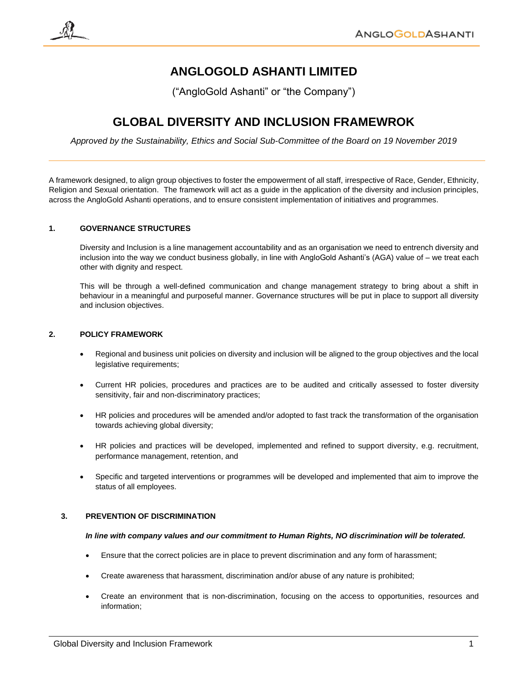# **ANGLOGOLD ASHANTI LIMITED**

("AngloGold Ashanti" or "the Company")

## **GLOBAL DIVERSITY AND INCLUSION FRAMEWROK**

*Approved by the Sustainability, Ethics and Social Sub-Committee of the Board on 19 November 2019*

A framework designed, to align group objectives to foster the empowerment of all staff, irrespective of Race, Gender, Ethnicity, Religion and Sexual orientation. The framework will act as a guide in the application of the diversity and inclusion principles, across the AngloGold Ashanti operations, and to ensure consistent implementation of initiatives and programmes.

## **1. GOVERNANCE STRUCTURES**

Diversity and Inclusion is a line management accountability and as an organisation we need to entrench diversity and inclusion into the way we conduct business globally, in line with AngloGold Ashanti's (AGA) value of – we treat each other with dignity and respect.

This will be through a well-defined communication and change management strategy to bring about a shift in behaviour in a meaningful and purposeful manner. Governance structures will be put in place to support all diversity and inclusion objectives.

## **2. POLICY FRAMEWORK**

- Regional and business unit policies on diversity and inclusion will be aligned to the group objectives and the local legislative requirements;
- Current HR policies, procedures and practices are to be audited and critically assessed to foster diversity sensitivity, fair and non-discriminatory practices;
- HR policies and procedures will be amended and/or adopted to fast track the transformation of the organisation towards achieving global diversity;
- HR policies and practices will be developed, implemented and refined to support diversity, e.g. recruitment, performance management, retention, and
- Specific and targeted interventions or programmes will be developed and implemented that aim to improve the status of all employees.

## **3. PREVENTION OF DISCRIMINATION**

#### *In line with company values and our commitment to Human Rights, NO discrimination will be tolerated.*

- Ensure that the correct policies are in place to prevent discrimination and any form of harassment;
- Create awareness that harassment, discrimination and/or abuse of any nature is prohibited;
- Create an environment that is non-discrimination, focusing on the access to opportunities, resources and information;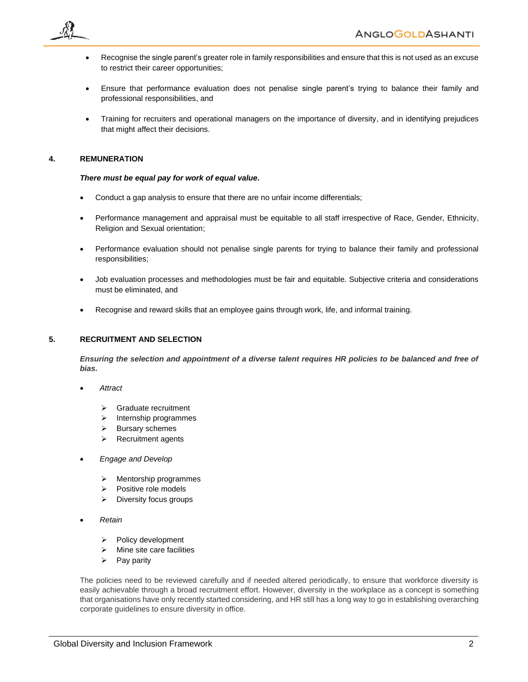

- Recognise the single parent's greater role in family responsibilities and ensure that this is not used as an excuse to restrict their career opportunities;
- Ensure that performance evaluation does not penalise single parent's trying to balance their family and professional responsibilities, and
- Training for recruiters and operational managers on the importance of diversity, and in identifying prejudices that might affect their decisions.

## **4. REMUNERATION**

#### *There must be equal pay for work of equal value.*

- Conduct a gap analysis to ensure that there are no unfair income differentials;
- Performance management and appraisal must be equitable to all staff irrespective of Race, Gender, Ethnicity, Religion and Sexual orientation;
- Performance evaluation should not penalise single parents for trying to balance their family and professional responsibilities;
- Job evaluation processes and methodologies must be fair and equitable. Subjective criteria and considerations must be eliminated, and
- Recognise and reward skills that an employee gains through work, life, and informal training.

## **5. RECRUITMENT AND SELECTION**

*Ensuring the selection and appointment of a diverse talent requires HR policies to be balanced and free of bias.*

- • *Attract* 
	- ➢ Graduate recruitment
	- ➢ Internship programmes
	- ➢ Bursary schemes
	- ➢ Recruitment agents
- • *Engage and Develop*
	- ➢ Mentorship programmes
	- ➢ Positive role models
	- ➢ Diversity focus groups
- • *Retain*
	- ➢ Policy development
	- $\triangleright$  Mine site care facilities
	- $\triangleright$  Pay parity

The policies need to be reviewed carefully and if needed altered periodically, to ensure that workforce diversity is easily achievable through a broad recruitment effort. However, diversity in the workplace as a concept is something that organisations have only recently started considering, and HR still has a long way to go in establishing overarching corporate guidelines to ensure diversity in office.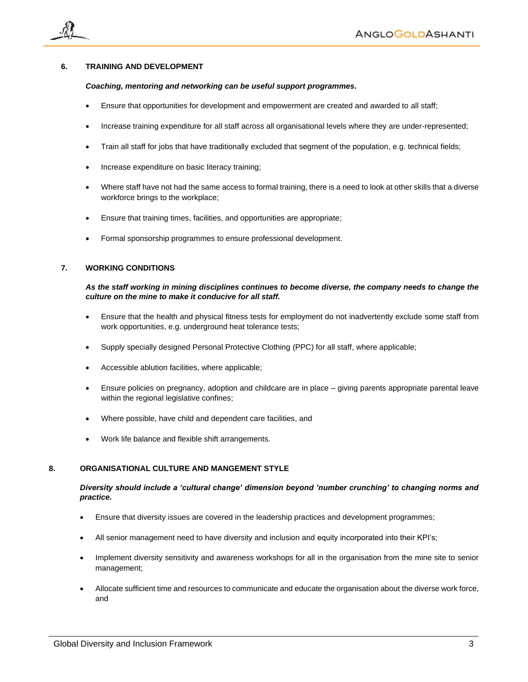

## **6. TRAINING AND DEVELOPMENT**

#### *Coaching, mentoring and networking can be useful support programmes.*

- Ensure that opportunities for development and empowerment are created and awarded to all staff;
- Increase training expenditure for all staff across all organisational levels where they are under-represented;
- Train all staff for jobs that have traditionally excluded that segment of the population, e.g. technical fields;
- Increase expenditure on basic literacy training;
- Where staff have not had the same access to formal training, there is a need to look at other skills that a diverse workforce brings to the workplace;
- Ensure that training times, facilities, and opportunities are appropriate;
- Formal sponsorship programmes to ensure professional development.

## **7. WORKING CONDITIONS**

#### *As the staff working in mining disciplines continues to become diverse, the company needs to change the culture on the mine to make it conducive for all staff.*

- Ensure that the health and physical fitness tests for employment do not inadvertently exclude some staff from work opportunities, e.g. underground heat tolerance tests;
- Supply specially designed Personal Protective Clothing (PPC) for all staff, where applicable;
- Accessible ablution facilities, where applicable;
- Ensure policies on pregnancy, adoption and childcare are in place giving parents appropriate parental leave within the regional legislative confines;
- Where possible, have child and dependent care facilities, and
- Work life balance and flexible shift arrangements.

#### **8. ORGANISATIONAL CULTURE AND MANGEMENT STYLE**

## *Diversity should include a 'cultural change' dimension beyond 'number crunching' to changing norms and practice.*

- Ensure that diversity issues are covered in the leadership practices and development programmes;
- All senior management need to have diversity and inclusion and equity incorporated into their KPI's;
- Implement diversity sensitivity and awareness workshops for all in the organisation from the mine site to senior management;
- Allocate sufficient time and resources to communicate and educate the organisation about the diverse work force, and